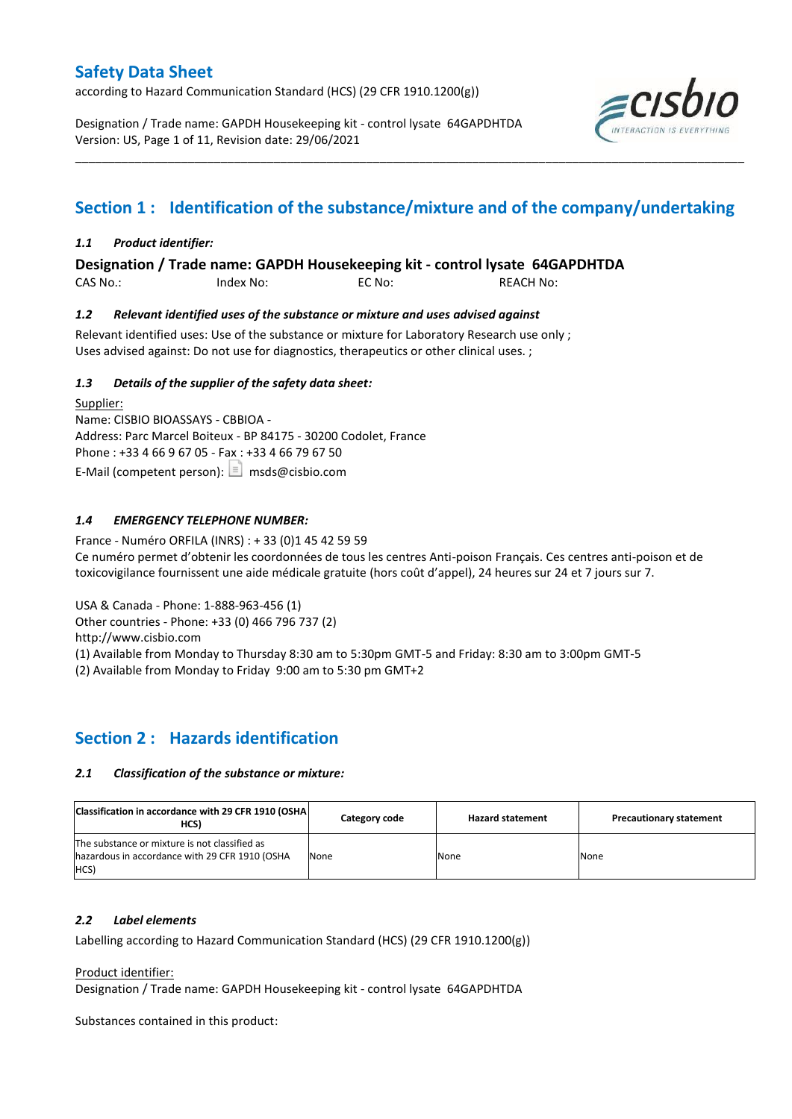according to Hazard Communication Standard (HCS) (29 CFR 1910.1200(g))

Designation / Trade name: GAPDH Housekeeping kit - control lysate 64GAPDHTDA Version: US, Page 1 of 11, Revision date: 29/06/2021



# **Section 1 : Identification of the substance/mixture and of the company/undertaking**

\_\_\_\_\_\_\_\_\_\_\_\_\_\_\_\_\_\_\_\_\_\_\_\_\_\_\_\_\_\_\_\_\_\_\_\_\_\_\_\_\_\_\_\_\_\_\_\_\_\_\_\_\_\_\_\_\_\_\_\_\_\_\_\_\_\_\_\_\_\_\_\_\_\_\_\_\_\_\_\_\_\_\_\_\_\_\_\_\_\_\_\_\_\_\_\_\_\_\_\_\_

## *1.1 Product identifier:*

**Designation / Trade name: GAPDH Housekeeping kit - control lysate 64GAPDHTDA** 

CAS No.: Index No: EC No: REACH No:

## *1.2 Relevant identified uses of the substance or mixture and uses advised against*

Relevant identified uses: Use of the substance or mixture for Laboratory Research use only ; Uses advised against: Do not use for diagnostics, therapeutics or other clinical uses. ;

## *1.3 Details of the supplier of the safety data sheet:*

Supplier: Name: CISBIO BIOASSAYS - CBBIOA - Address: Parc Marcel Boiteux - BP 84175 - 30200 Codolet, France Phone : +33 4 66 9 67 05 - Fax : +33 4 66 79 67 50 E-Mail (competent person):  $\boxed{\equiv}$  msds@cisbio.com

## *1.4 EMERGENCY TELEPHONE NUMBER:*

France - Numéro ORFILA (INRS) : + 33 (0)1 45 42 59 59 Ce numéro permet d'obtenir les coordonnées de tous les centres Anti-poison Français. Ces centres anti-poison et de toxicovigilance fournissent une aide médicale gratuite (hors coût d'appel), 24 heures sur 24 et 7 jours sur 7.

USA & Canada - Phone: 1-888-963-456 (1)

Other countries - Phone: +33 (0) 466 796 737 (2)

http://www.cisbio.com

(1) Available from Monday to Thursday 8:30 am to 5:30pm GMT-5 and Friday: 8:30 am to 3:00pm GMT-5

(2) Available from Monday to Friday 9:00 am to 5:30 pm GMT+2

## **Section 2 : Hazards identification**

## *2.1 Classification of the substance or mixture:*

| Classification in accordance with 29 CFR 1910 (OSHA)<br>HCS)                                            | Category code | <b>Hazard statement</b> | <b>Precautionary statement</b> |
|---------------------------------------------------------------------------------------------------------|---------------|-------------------------|--------------------------------|
| The substance or mixture is not classified as<br>hazardous in accordance with 29 CFR 1910 (OSHA<br>HCS) | None          | None                    | None                           |

## *2.2 Label elements*

Labelling according to Hazard Communication Standard (HCS) (29 CFR 1910.1200(g))

Product identifier:

Designation / Trade name: GAPDH Housekeeping kit - control lysate 64GAPDHTDA

Substances contained in this product: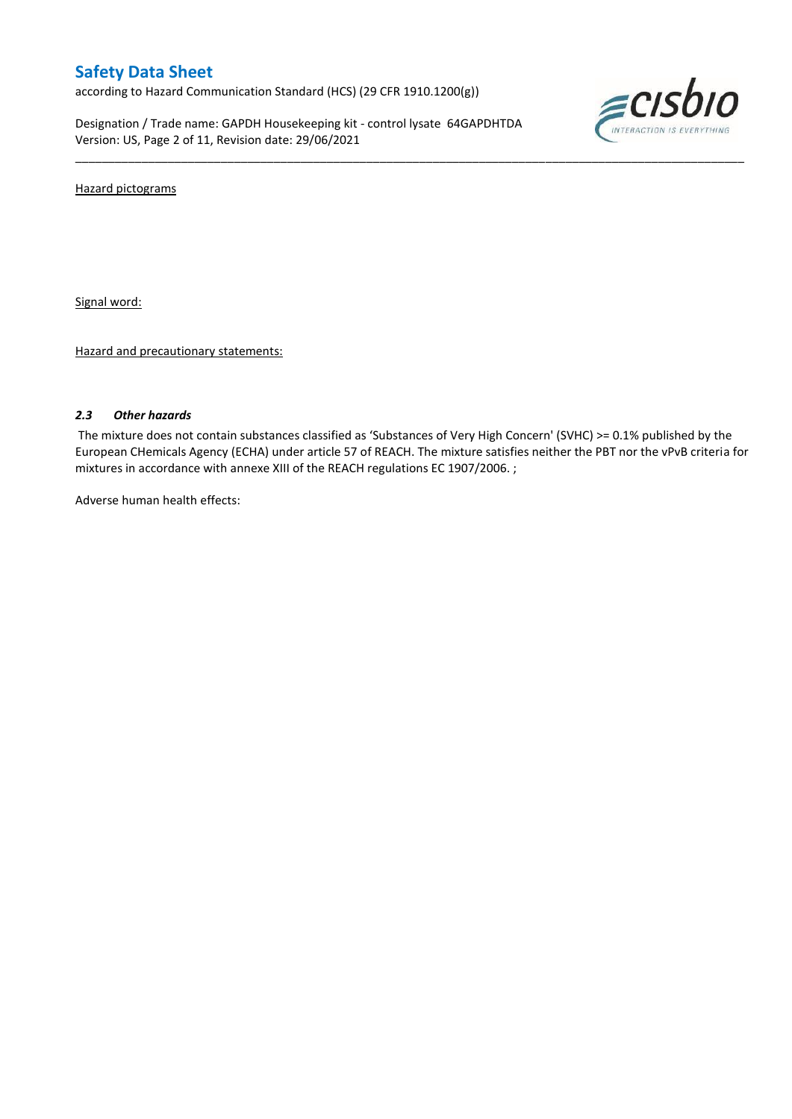according to Hazard Communication Standard (HCS) (29 CFR 1910.1200(g))

Designation / Trade name: GAPDH Housekeeping kit - control lysate 64GAPDHTDA Version: US, Page 2 of 11, Revision date: 29/06/2021



Hazard pictograms

Signal word:

Hazard and precautionary statements:

### *2.3 Other hazards*

The mixture does not contain substances classified as 'Substances of Very High Concern' (SVHC) >= 0.1% published by the European CHemicals Agency (ECHA) under article 57 of REACH. The mixture satisfies neither the PBT nor the vPvB criteria for mixtures in accordance with annexe XIII of the REACH regulations EC 1907/2006. ;

\_\_\_\_\_\_\_\_\_\_\_\_\_\_\_\_\_\_\_\_\_\_\_\_\_\_\_\_\_\_\_\_\_\_\_\_\_\_\_\_\_\_\_\_\_\_\_\_\_\_\_\_\_\_\_\_\_\_\_\_\_\_\_\_\_\_\_\_\_\_\_\_\_\_\_\_\_\_\_\_\_\_\_\_\_\_\_\_\_\_\_\_\_\_\_\_\_\_\_\_\_

Adverse human health effects: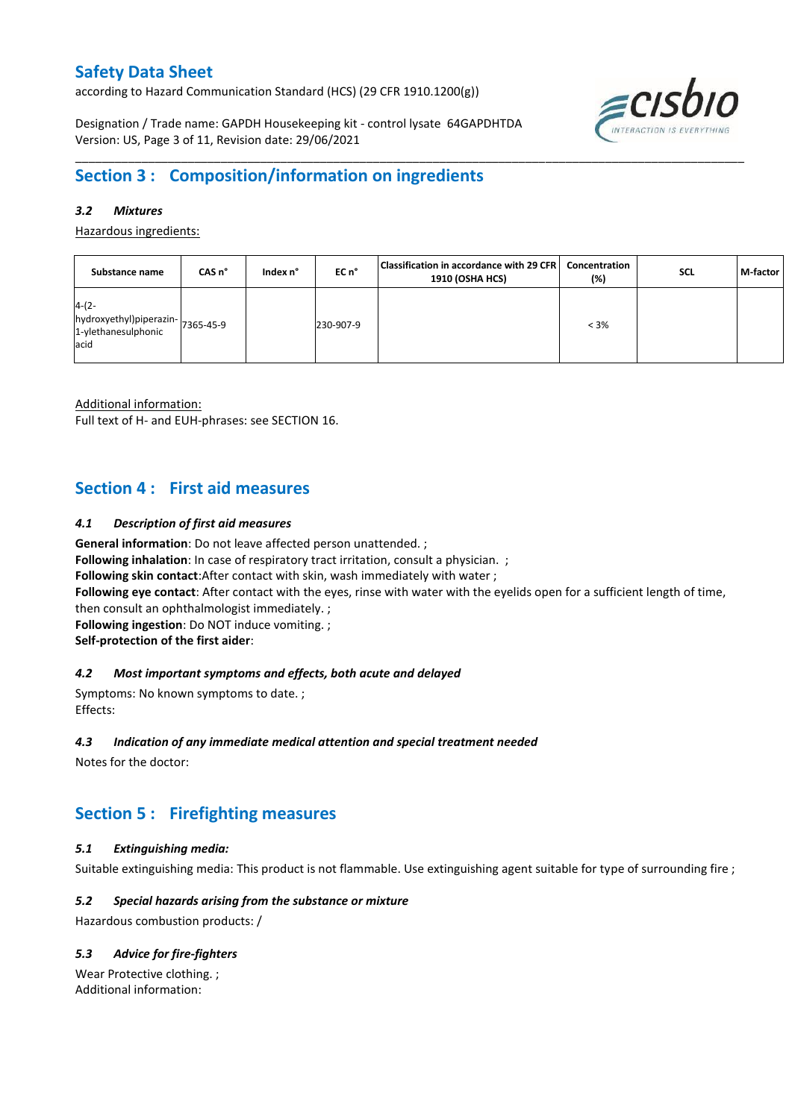according to Hazard Communication Standard (HCS) (29 CFR 1910.1200(g))

Designation / Trade name: GAPDH Housekeeping kit - control lysate 64GAPDHTDA Version: US, Page 3 of 11, Revision date: 29/06/2021



## **Section 3 : Composition/information on ingredients**

### *3.2 Mixtures*

Hazardous ingredients:

| Substance name                                                              | CAS n° | Index n° | EC n°     | Classification in accordance with 29 CFR<br>1910 (OSHA HCS) | Concentration<br>(%) | SCL | M-factor |
|-----------------------------------------------------------------------------|--------|----------|-----------|-------------------------------------------------------------|----------------------|-----|----------|
| $4-(2-$<br>hydroxyethyl)piperazin-7365-45-9<br>1-ylethanesulphonic<br>lacid |        |          | 230-907-9 |                                                             | $< 3\%$              |     |          |

\_\_\_\_\_\_\_\_\_\_\_\_\_\_\_\_\_\_\_\_\_\_\_\_\_\_\_\_\_\_\_\_\_\_\_\_\_\_\_\_\_\_\_\_\_\_\_\_\_\_\_\_\_\_\_\_\_\_\_\_\_\_\_\_\_\_\_\_\_\_\_\_\_\_\_\_\_\_\_\_\_\_\_\_\_\_\_\_\_\_\_\_\_\_\_\_\_\_\_\_\_

Additional information:

Full text of H- and EUH-phrases: see SECTION 16.

## **Section 4 : First aid measures**

#### *4.1 Description of first aid measures*

**General information**: Do not leave affected person unattended. ;

**Following inhalation**: In case of respiratory tract irritation, consult a physician. ;

**Following skin contact**:After contact with skin, wash immediately with water ;

**Following eye contact**: After contact with the eyes, rinse with water with the eyelids open for a sufficient length of time,

then consult an ophthalmologist immediately. ;

**Following ingestion**: Do NOT induce vomiting. ;

**Self-protection of the first aider**:

#### *4.2 Most important symptoms and effects, both acute and delayed*

Symptoms: No known symptoms to date. ; Effects:

#### *4.3 Indication of any immediate medical attention and special treatment needed*

Notes for the doctor:

## **Section 5 : Firefighting measures**

## *5.1 Extinguishing media:*

Suitable extinguishing media: This product is not flammable. Use extinguishing agent suitable for type of surrounding fire ;

## *5.2 Special hazards arising from the substance or mixture*

Hazardous combustion products: /

## *5.3 Advice for fire-fighters*

Wear Protective clothing. ; Additional information: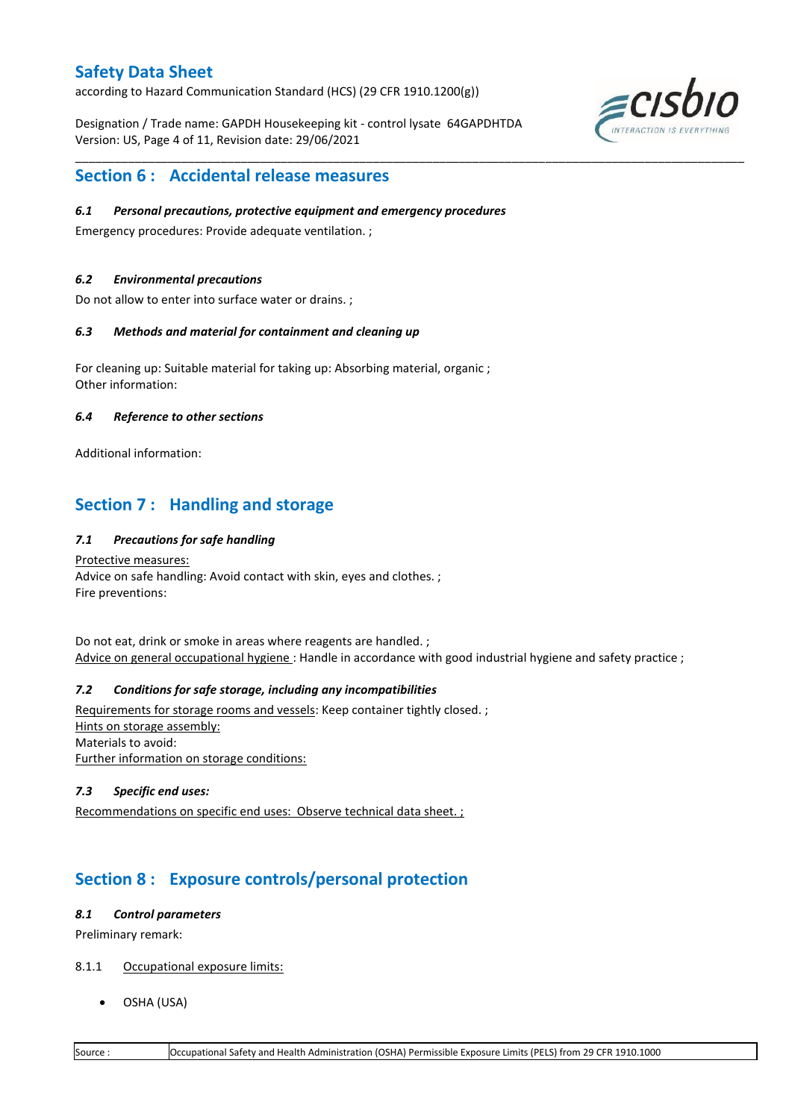according to Hazard Communication Standard (HCS) (29 CFR 1910.1200(g))

Designation / Trade name: GAPDH Housekeeping kit - control lysate 64GAPDHTDA Version: US, Page 4 of 11, Revision date: 29/06/2021

\_\_\_\_\_\_\_\_\_\_\_\_\_\_\_\_\_\_\_\_\_\_\_\_\_\_\_\_\_\_\_\_\_\_\_\_\_\_\_\_\_\_\_\_\_\_\_\_\_\_\_\_\_\_\_\_\_\_\_\_\_\_\_\_\_\_\_\_\_\_\_\_\_\_\_\_\_\_\_\_\_\_\_\_\_\_\_\_\_\_\_\_\_\_\_\_\_\_\_\_\_



## **Section 6 : Accidental release measures**

### *6.1 Personal precautions, protective equipment and emergency procedures*

Emergency procedures: Provide adequate ventilation. ;

### *6.2 Environmental precautions*

Do not allow to enter into surface water or drains. ;

#### *6.3 Methods and material for containment and cleaning up*

For cleaning up: Suitable material for taking up: Absorbing material, organic ; Other information:

### *6.4 Reference to other sections*

Additional information:

## **Section 7 : Handling and storage**

## *7.1 Precautions for safe handling*

#### Protective measures: Advice on safe handling: Avoid contact with skin, eyes and clothes. ; Fire preventions:

Do not eat, drink or smoke in areas where reagents are handled. ; Advice on general occupational hygiene: Handle in accordance with good industrial hygiene and safety practice ;

## *7.2 Conditions for safe storage, including any incompatibilities*

Requirements for storage rooms and vessels: Keep container tightly closed. ; Hints on storage assembly: Materials to avoid: Further information on storage conditions:

## *7.3 Specific end uses:*

Recommendations on specific end uses: Observe technical data sheet. ;

## **Section 8 : Exposure controls/personal protection**

#### *8.1 Control parameters*

Preliminary remark:

## 8.1.1 Occupational exposure limits:

OSHA (USA)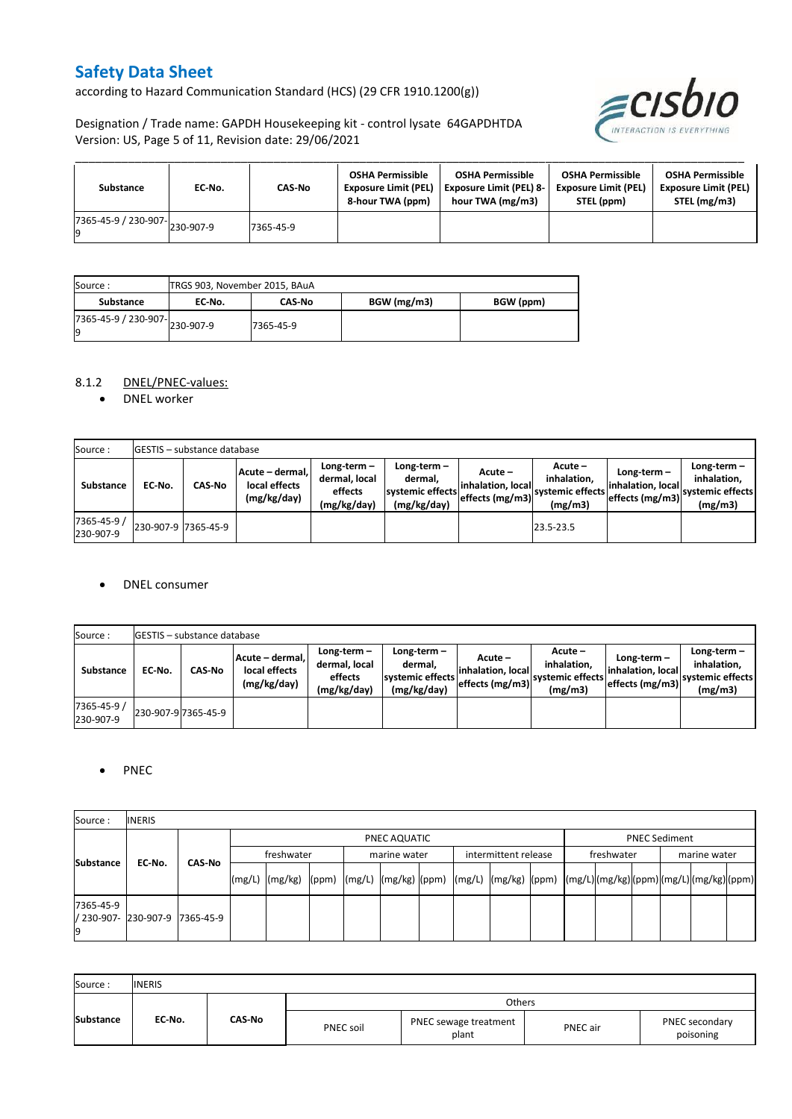according to Hazard Communication Standard (HCS) (29 CFR 1910.1200(g))

Designation / Trade name: GAPDH Housekeeping kit - control lysate 64GAPDHTDA Version: US, Page 5 of 11, Revision date: 29/06/2021



| Substance                                        | EC No. | CAS-No    | <b>OSHA Permissible</b><br><b>Exposure Limit (PEL)</b><br>8-hour TWA (ppm) | <b>OSHA Permissible</b><br><b>Exposure Limit (PEL) 8-</b><br>hour TWA (mg/m3) | <b>OSHA Permissible</b><br><b>Exposure Limit (PEL)</b><br>STEL (ppm) | <b>OSHA Permissible</b><br><b>Exposure Limit (PEL)</b><br>STEL (mg/m3) |
|--------------------------------------------------|--------|-----------|----------------------------------------------------------------------------|-------------------------------------------------------------------------------|----------------------------------------------------------------------|------------------------------------------------------------------------|
| $\sqrt{1365}$ -45-9 / 230-907- $\big $ 230-907-9 |        | 7365-45-9 |                                                                            |                                                                               |                                                                      |                                                                        |

| Source:                             |        | TRGS 903, November 2015, BAuA |             |           |  |  |  |  |
|-------------------------------------|--------|-------------------------------|-------------|-----------|--|--|--|--|
| Substance                           | EC No. | <b>CAS-No</b>                 | BGW (mg/m3) | BGW (ppm) |  |  |  |  |
| 7365-45-9 / 230-907-230-907-9<br>l9 |        | 7365-45-9                     |             |           |  |  |  |  |

## 8.1.2 DNEL/PNEC-values:

• DNEL worker

| Source:                  |                     | <b>IGESTIS - substance database</b> |                                                 |                                                          |                                                             |                                                   |                                                       |                                                        |                                                             |  |
|--------------------------|---------------------|-------------------------------------|-------------------------------------------------|----------------------------------------------------------|-------------------------------------------------------------|---------------------------------------------------|-------------------------------------------------------|--------------------------------------------------------|-------------------------------------------------------------|--|
| Substance                | EC No.              | <b>CAS-No</b>                       | Acute - dermal.<br>local effects<br>(mg/kg/day) | Long-term $-$<br>dermal, local<br>effects<br>(mg/kg/day) | Long-term $-$<br>dermal.<br>systemic effects<br>(mg/kg/day) | Acute –<br>linhalation. locall<br>effects (mg/m3) | Acute –<br>inhalation.<br>svstemic effects<br>(mg/m3) | Long-term $-$<br>linhalation. local<br>effects (mg/m3) | $Long-term -$<br>inhalation.<br>systemic effects<br>(mg/m3) |  |
| 7365-45-9 /<br>230-907-9 | 230-907-9 7365-45-9 |                                     |                                                 |                                                          |                                                             |                                                   | 23.5-23.5                                             |                                                        |                                                             |  |

#### DNEL consumer

| Source:                  |        | <b>GESTIS</b> - substance database |                                                 |                                                          |                                                             |                                                  |                                                       |                                                     |                                                             |
|--------------------------|--------|------------------------------------|-------------------------------------------------|----------------------------------------------------------|-------------------------------------------------------------|--------------------------------------------------|-------------------------------------------------------|-----------------------------------------------------|-------------------------------------------------------------|
| <b>Substance</b>         | EC No. | <b>CAS-No</b>                      | Acute - dermal.<br>local effects<br>(mg/kg/day) | Long-term $-$<br>dermal, local<br>effects<br>(mg/kg/day) | Long-term $-$<br>dermal.<br>systemic effects<br>(mg/kg/day) | Acute –<br>linhalation. local<br>effects (mg/m3) | Acute -<br>inhalation.<br>systemic effects<br>(mg/m3) | Long-term-<br>linhalation. local<br>effects (mg/m3) | Long-term $-$<br>inhalation.<br>systemic effects<br>(mg/m3) |
| 7365-45-9 /<br>230-907-9 |        | 230-907-9 7365-45-9                |                                                 |                                                          |                                                             |                                                  |                                                       |                                                     |                                                             |

## • PNEC

| Source:          | <b>INERIS</b>                  |  |        |                                                                                                                                                                                                                                                                                                                                                                                                                                                                   |  |  |              |  |                      |  |            |                      |  |              |  |  |  |
|------------------|--------------------------------|--|--------|-------------------------------------------------------------------------------------------------------------------------------------------------------------------------------------------------------------------------------------------------------------------------------------------------------------------------------------------------------------------------------------------------------------------------------------------------------------------|--|--|--------------|--|----------------------|--|------------|----------------------|--|--------------|--|--|--|
|                  |                                |  |        | PNEC AQUATIC                                                                                                                                                                                                                                                                                                                                                                                                                                                      |  |  |              |  |                      |  |            | <b>PNEC Sediment</b> |  |              |  |  |  |
| <b>Substance</b> | EC-No.<br>CAS-No               |  |        | freshwater                                                                                                                                                                                                                                                                                                                                                                                                                                                        |  |  | marine water |  | intermittent release |  | freshwater |                      |  | marine water |  |  |  |
|                  |                                |  | (mg/L) | $\lceil \frac{\text{mg}}{\text{mg}} \rceil \text{g} \rceil \text{g} \rceil \text{g} \rceil \text{g} \rceil \text{g} \rceil \text{g} \rceil \text{g} \rceil \text{g} \rceil \text{g} \rceil \text{g} \rceil \text{g} \rceil \text{g} \rceil \text{g} \rceil \text{g} \rceil \text{g} \rceil \text{g} \rceil \text{g} \rceil \text{g} \rceil \text{g} \rceil \text{g} \rceil \text{g} \rceil \text{g} \rceil \text{g} \rceil \text{g} \rceil \text{g} \rceil \text$ |  |  |              |  |                      |  |            |                      |  |              |  |  |  |
| 7365-45-9        | / 230-907- 230-907-9 7365-45-9 |  |        |                                                                                                                                                                                                                                                                                                                                                                                                                                                                   |  |  |              |  |                      |  |            |                      |  |              |  |  |  |

| Source:          | <b>INERIS</b> |        |                  |                                |          |                             |
|------------------|---------------|--------|------------------|--------------------------------|----------|-----------------------------|
|                  |               |        |                  | Others                         |          |                             |
| <b>Substance</b> | EC-No.        | CAS-No | <b>PNEC soil</b> | PNEC sewage treatment<br>plant | PNEC air | PNEC secondary<br>poisoning |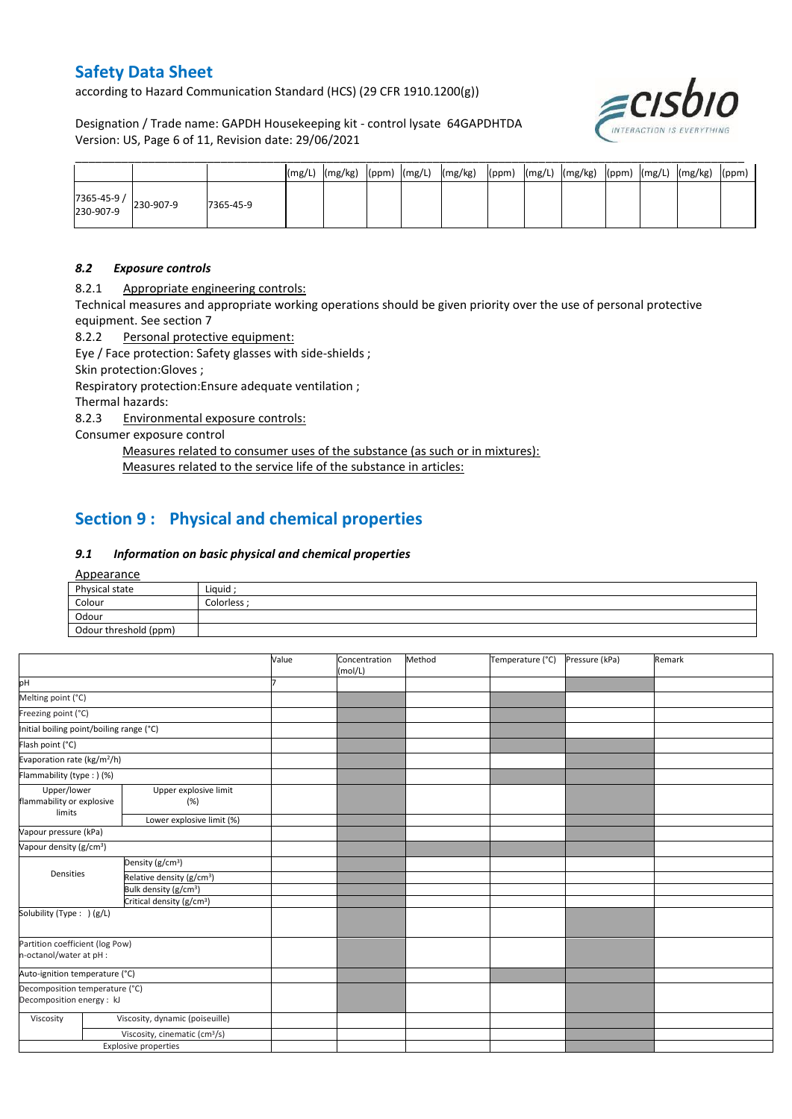according to Hazard Communication Standard (HCS) (29 CFR 1910.1200(g))

Designation / Trade name: GAPDH Housekeeping kit - control lysate 64GAPDHTDA Version: US, Page 6 of 11, Revision date: 29/06/2021



|                       |           | (mg/L) | (mg/kg) | (ppm) | (mg/L) | (mg/kg) | (ppm) | $(mg/L)$ $(mg/kg)$ | (ppm) | (mg/L) | (mg/kg) | (ppm) |
|-----------------------|-----------|--------|---------|-------|--------|---------|-------|--------------------|-------|--------|---------|-------|
| 7365-45-9 / 230-907-9 | 7365-45-9 |        |         |       |        |         |       |                    |       |        |         |       |

#### *8.2 Exposure controls*

8.2.1 Appropriate engineering controls:

Technical measures and appropriate working operations should be given priority over the use of personal protective equipment. See section 7

8.2.2 Personal protective equipment:

Eye / Face protection: Safety glasses with side-shields ;

Skin protection:Gloves ;

Respiratory protection:Ensure adequate ventilation ;

Thermal hazards:

8.2.3 Environmental exposure controls:

Consumer exposure control

Measures related to consumer uses of the substance (as such or in mixtures): Measures related to the service life of the substance in articles:

## **Section 9 : Physical and chemical properties**

## *9.1 Information on basic physical and chemical properties*

Appearance

| $-$                   |            |
|-----------------------|------------|
| Physical state        | Liquid ;   |
| Colour                | Colorless: |
| Odour                 |            |
| Odour threshold (ppm) |            |

|                                                             |                                           | Value | Concentration | Method | Temperature (°C) | Pressure (kPa) | Remark |
|-------------------------------------------------------------|-------------------------------------------|-------|---------------|--------|------------------|----------------|--------|
|                                                             |                                           |       | (mol/L)       |        |                  |                |        |
| pH                                                          |                                           |       |               |        |                  |                |        |
| Melting point (°C)                                          |                                           |       |               |        |                  |                |        |
| Freezing point (°C)                                         |                                           |       |               |        |                  |                |        |
| Initial boiling point/boiling range (°C)                    |                                           |       |               |        |                  |                |        |
| Flash point (°C)                                            |                                           |       |               |        |                  |                |        |
| Evaporation rate (kg/m <sup>2</sup> /h)                     |                                           |       |               |        |                  |                |        |
| Flammability (type : ) (%)                                  |                                           |       |               |        |                  |                |        |
| Upper/lower<br>flammability or explosive<br>limits          | Upper explosive limit<br>(%)              |       |               |        |                  |                |        |
|                                                             | Lower explosive limit (%)                 |       |               |        |                  |                |        |
| Vapour pressure (kPa)                                       |                                           |       |               |        |                  |                |        |
| Vapour density (g/cm <sup>3</sup> )                         |                                           |       |               |        |                  |                |        |
|                                                             | Density (g/cm <sup>3</sup> )              |       |               |        |                  |                |        |
| Densities                                                   | Relative density (g/cm <sup>3</sup> )     |       |               |        |                  |                |        |
|                                                             | Bulk density (g/cm <sup>3</sup> )         |       |               |        |                  |                |        |
|                                                             | Critical density (g/cm <sup>3</sup> )     |       |               |        |                  |                |        |
| Solubility (Type: ) (g/L)                                   |                                           |       |               |        |                  |                |        |
| Partition coefficient (log Pow)<br>n-octanol/water at pH :  |                                           |       |               |        |                  |                |        |
| Auto-ignition temperature (°C)                              |                                           |       |               |        |                  |                |        |
| Decomposition temperature (°C)<br>Decomposition energy : kJ |                                           |       |               |        |                  |                |        |
| Viscosity                                                   | Viscosity, dynamic (poiseuille)           |       |               |        |                  |                |        |
|                                                             | Viscosity, cinematic (cm <sup>3</sup> /s) |       |               |        |                  |                |        |
|                                                             | Explosive properties                      |       |               |        |                  |                |        |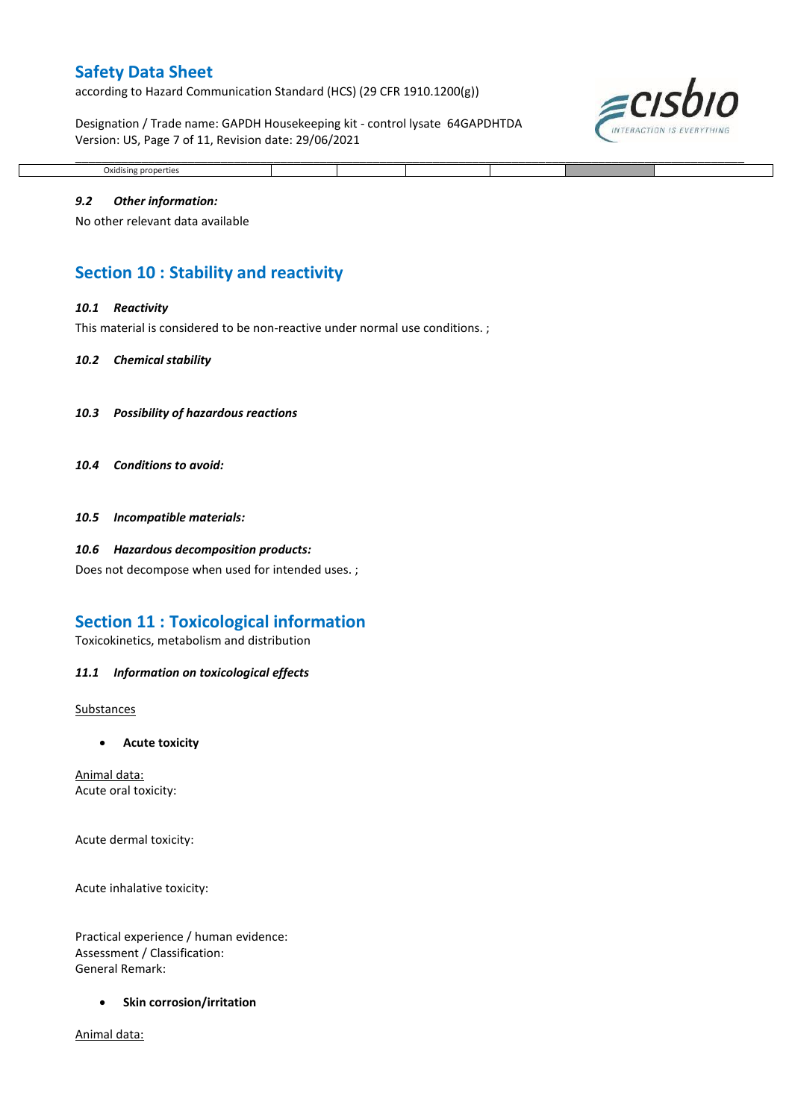according to Hazard Communication Standard (HCS) (29 CFR 1910.1200(g))

Designation / Trade name: GAPDH Housekeeping kit - control lysate 64GAPDHTDA Version: US, Page 7 of 11, Revision date: 29/06/2021



## Oxidising properties

\_\_\_\_\_\_\_\_\_\_\_\_\_\_\_\_\_\_\_\_\_\_\_\_\_\_\_\_\_\_\_\_\_\_\_\_\_\_\_\_\_\_\_\_\_\_\_\_\_\_\_\_\_\_\_\_\_\_\_\_\_\_\_\_\_\_\_\_\_\_\_\_\_\_\_\_\_\_\_\_\_\_\_\_\_\_\_\_\_\_\_\_\_\_\_\_\_\_\_\_\_

#### *9.2 Other information:*

No other relevant data available

## **Section 10 : Stability and reactivity**

#### *10.1 Reactivity*

This material is considered to be non-reactive under normal use conditions.;

#### *10.2 Chemical stability*

- *10.3 Possibility of hazardous reactions*
- *10.4 Conditions to avoid:*

*10.5 Incompatible materials:*

#### *10.6 Hazardous decomposition products:*

Does not decompose when used for intended uses. ;

## **Section 11 : Toxicological information**

Toxicokinetics, metabolism and distribution

#### *11.1 Information on toxicological effects*

Substances

**Acute toxicity**

Animal data: Acute oral toxicity:

Acute dermal toxicity:

Acute inhalative toxicity:

Practical experience / human evidence: Assessment / Classification: General Remark:

**•** Skin corrosion/irritation

Animal data: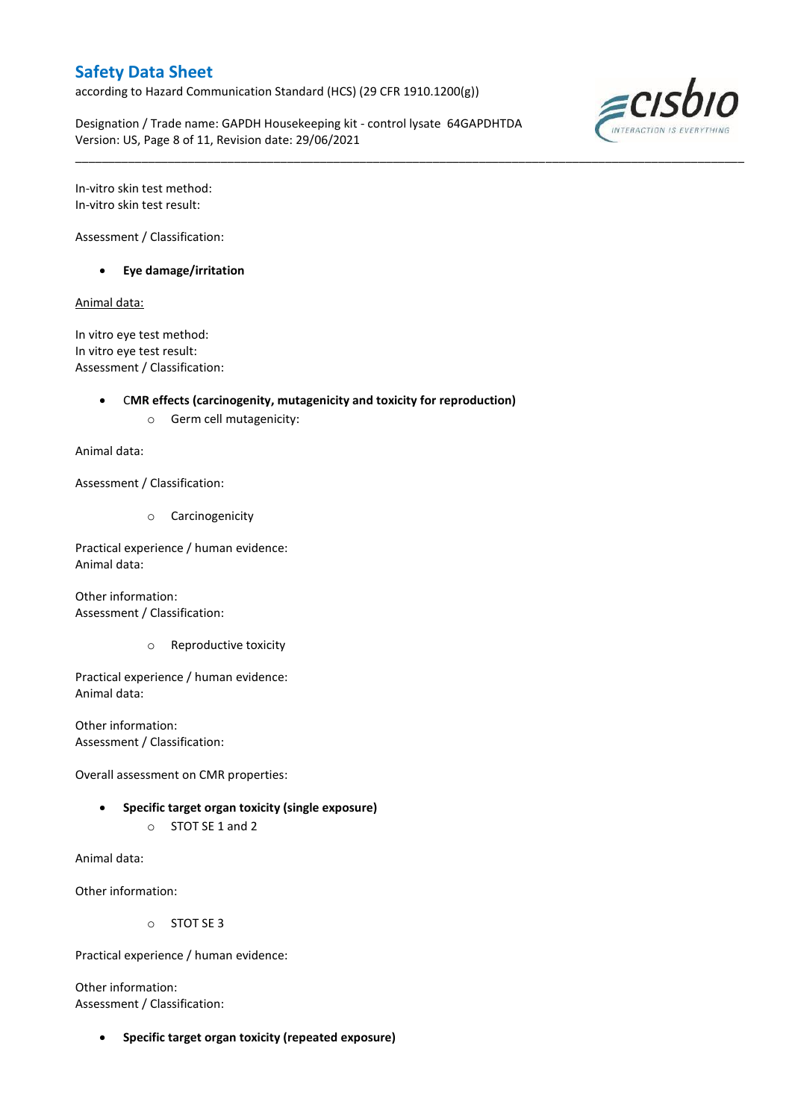according to Hazard Communication Standard (HCS) (29 CFR 1910.1200(g))

Designation / Trade name: GAPDH Housekeeping kit - control lysate 64GAPDHTDA Version: US, Page 8 of 11, Revision date: 29/06/2021

\_\_\_\_\_\_\_\_\_\_\_\_\_\_\_\_\_\_\_\_\_\_\_\_\_\_\_\_\_\_\_\_\_\_\_\_\_\_\_\_\_\_\_\_\_\_\_\_\_\_\_\_\_\_\_\_\_\_\_\_\_\_\_\_\_\_\_\_\_\_\_\_\_\_\_\_\_\_\_\_\_\_\_\_\_\_\_\_\_\_\_\_\_\_\_\_\_\_\_\_\_



In-vitro skin test method: In-vitro skin test result:

Assessment / Classification:

**Eye damage/irritation**

Animal data:

In vitro eye test method: In vitro eye test result: Assessment / Classification:

### C**MR effects (carcinogenity, mutagenicity and toxicity for reproduction)**

o Germ cell mutagenicity:

Animal data:

Assessment / Classification:

o Carcinogenicity

Practical experience / human evidence: Animal data:

Other information: Assessment / Classification:

o Reproductive toxicity

Practical experience / human evidence: Animal data:

Other information: Assessment / Classification:

Overall assessment on CMR properties:

- **Specific target organ toxicity (single exposure)**
	- o STOT SE 1 and 2

Animal data:

Other information:

o STOT SE 3

Practical experience / human evidence:

Other information: Assessment / Classification:

**Specific target organ toxicity (repeated exposure)**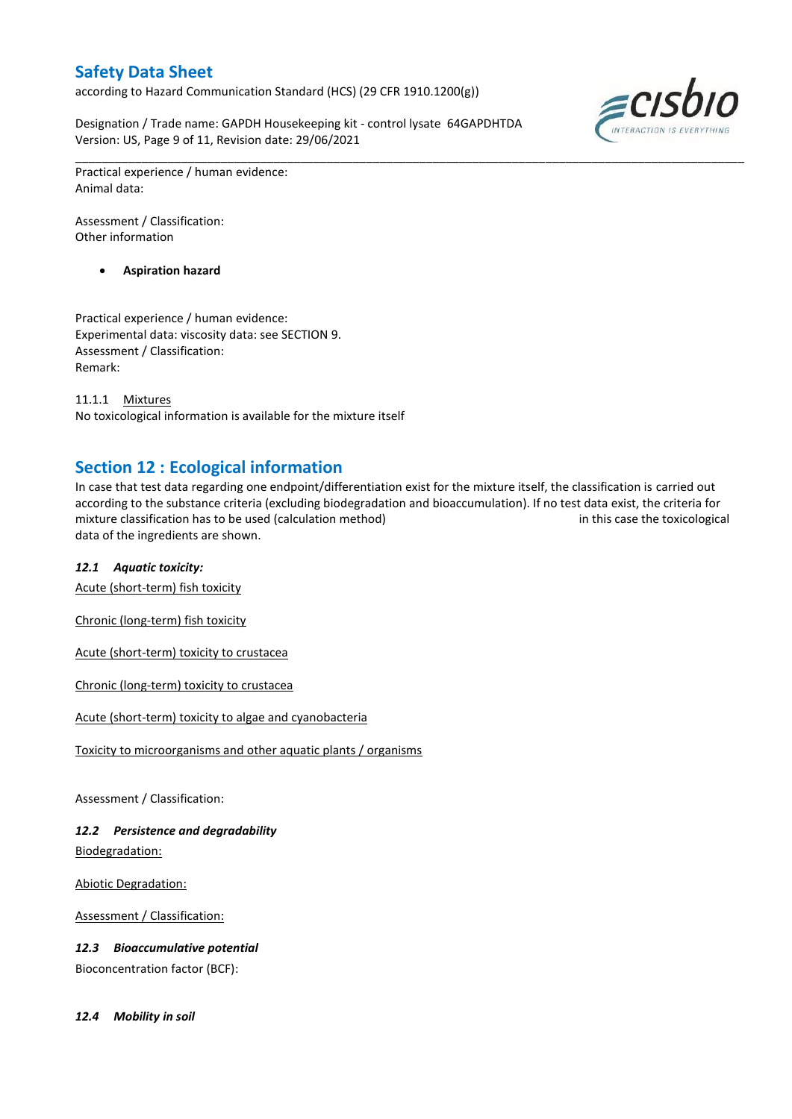according to Hazard Communication Standard (HCS) (29 CFR 1910.1200(g))

Designation / Trade name: GAPDH Housekeeping kit - control lysate 64GAPDHTDA Version: US, Page 9 of 11, Revision date: 29/06/2021



Practical experience / human evidence: Animal data:

Assessment / Classification: Other information

**Aspiration hazard**

Practical experience / human evidence: Experimental data: viscosity data: see SECTION 9. Assessment / Classification: Remark:

11.1.1 Mixtures No toxicological information is available for the mixture itself

## **Section 12 : Ecological information**

In case that test data regarding one endpoint/differentiation exist for the mixture itself, the classification is carried out according to the substance criteria (excluding biodegradation and bioaccumulation). If no test data exist, the criteria for mixture classification has to be used (calculation method) in this case the toxicological data of the ingredients are shown.

\_\_\_\_\_\_\_\_\_\_\_\_\_\_\_\_\_\_\_\_\_\_\_\_\_\_\_\_\_\_\_\_\_\_\_\_\_\_\_\_\_\_\_\_\_\_\_\_\_\_\_\_\_\_\_\_\_\_\_\_\_\_\_\_\_\_\_\_\_\_\_\_\_\_\_\_\_\_\_\_\_\_\_\_\_\_\_\_\_\_\_\_\_\_\_\_\_\_\_\_\_

## *12.1 Aquatic toxicity:*

Acute (short-term) fish toxicity

Chronic (long-term) fish toxicity

Acute (short-term) toxicity to crustacea

Chronic (long-term) toxicity to crustacea

Acute (short-term) toxicity to algae and cyanobacteria

Toxicity to microorganisms and other aquatic plants / organisms

Assessment / Classification:

## *12.2 Persistence and degradability*

Biodegradation:

Abiotic Degradation:

Assessment / Classification:

*12.3 Bioaccumulative potential*

Bioconcentration factor (BCF):

*12.4 Mobility in soil*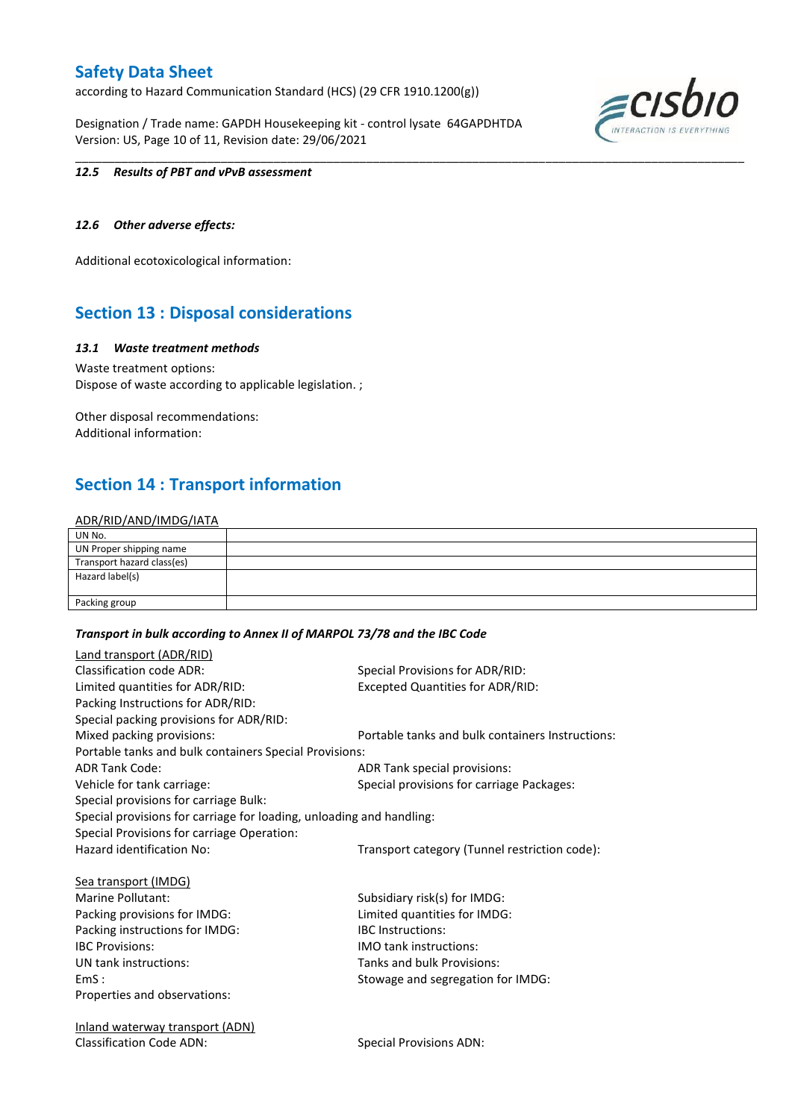according to Hazard Communication Standard (HCS) (29 CFR 1910.1200(g))

Designation / Trade name: GAPDH Housekeeping kit - control lysate 64GAPDHTDA Version: US, Page 10 of 11, Revision date: 29/06/2021



#### *12.5 Results of PBT and vPvB assessment*

### *12.6 Other adverse effects:*

Additional ecotoxicological information:

## **Section 13 : Disposal considerations**

#### *13.1 Waste treatment methods*

Waste treatment options: Dispose of waste according to applicable legislation. ;

Other disposal recommendations: Additional information:

## **Section 14 : Transport information**

### ADR/RID/AND/IMDG/IATA

| UN No.                     |  |
|----------------------------|--|
| UN Proper shipping name    |  |
| Transport hazard class(es) |  |
| Hazard label(s)            |  |
|                            |  |
| Packing group              |  |

\_\_\_\_\_\_\_\_\_\_\_\_\_\_\_\_\_\_\_\_\_\_\_\_\_\_\_\_\_\_\_\_\_\_\_\_\_\_\_\_\_\_\_\_\_\_\_\_\_\_\_\_\_\_\_\_\_\_\_\_\_\_\_\_\_\_\_\_\_\_\_\_\_\_\_\_\_\_\_\_\_\_\_\_\_\_\_\_\_\_\_\_\_\_\_\_\_\_\_\_\_

#### *Transport in bulk according to Annex II of MARPOL 73/78 and the IBC Code*

| Land transport (ADR/RID)                                             |                                                  |
|----------------------------------------------------------------------|--------------------------------------------------|
| <b>Classification code ADR:</b>                                      | Special Provisions for ADR/RID:                  |
| Limited quantities for ADR/RID:                                      | <b>Excepted Quantities for ADR/RID:</b>          |
| Packing Instructions for ADR/RID:                                    |                                                  |
| Special packing provisions for ADR/RID:                              |                                                  |
| Mixed packing provisions:                                            | Portable tanks and bulk containers Instructions: |
| Portable tanks and bulk containers Special Provisions:               |                                                  |
| <b>ADR Tank Code:</b>                                                | ADR Tank special provisions:                     |
| Vehicle for tank carriage:                                           | Special provisions for carriage Packages:        |
| Special provisions for carriage Bulk:                                |                                                  |
| Special provisions for carriage for loading, unloading and handling: |                                                  |
| Special Provisions for carriage Operation:                           |                                                  |
| Hazard identification No:                                            | Transport category (Tunnel restriction code):    |
| Sea transport (IMDG)                                                 |                                                  |
| Marine Pollutant:                                                    | Subsidiary risk(s) for IMDG:                     |
| Packing provisions for IMDG:                                         | Limited quantities for IMDG:                     |
| Packing instructions for IMDG:                                       | <b>IBC</b> Instructions:                         |
| <b>IBC Provisions:</b>                                               | <b>IMO tank instructions:</b>                    |
| UN tank instructions:                                                | Tanks and bulk Provisions:                       |
| EmS:                                                                 | Stowage and segregation for IMDG:                |
| Properties and observations:                                         |                                                  |
| <u>Inland waterway transport (ADN)</u>                               |                                                  |
| <b>Classification Code ADN:</b>                                      | <b>Special Provisions ADN:</b>                   |